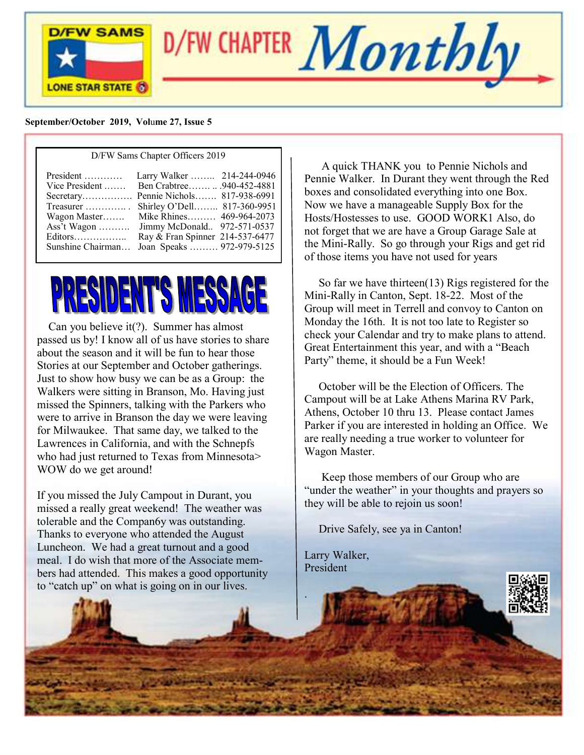

D/FW CHAPTER  $\boldsymbol{Monthly}$ 

#### **September/October 2019, Vol**u**me 27, Issue 5**

#### D/FW Sams Chapter Officers 2019

# <u>PRESIDENT'S MESS</u>

 Can you believe it(?). Summer has almost passed us by! I know all of us have stories to share about the season and it will be fun to hear those Stories at our September and October gatherings. Just to show how busy we can be as a Group: the Walkers were sitting in Branson, Mo. Having just missed the Spinners, talking with the Parkers who were to arrive in Branson the day we were leaving for Milwaukee. That same day, we talked to the Lawrences in California, and with the Schnepfs who had just returned to Texas from Minnesota> WOW do we get around!

If you missed the July Campout in Durant, you missed a really great weekend! The weather was tolerable and the Compan6y was outstanding. Thanks to everyone who attended the August Luncheon. We had a great turnout and a good meal. I do wish that more of the Associate members had attended. This makes a good opportunity to "catch up" on what is going on in our lives.

 A quick THANK you to Pennie Nichols and Pennie Walker. In Durant they went through the Red boxes and consolidated everything into one Box. Now we have a manageable Supply Box for the Hosts/Hostesses to use. GOOD WORK1 Also, do not forget that we are have a Group Garage Sale at the Mini-Rally. So go through your Rigs and get rid of those items you have not used for years

 So far we have thirteen(13) Rigs registered for the Mini-Rally in Canton, Sept. 18-22. Most of the Group will meet in Terrell and convoy to Canton on Monday the 16th. It is not too late to Register so check your Calendar and try to make plans to attend. Great Entertainment this year, and with a "Beach Party" theme, it should be a Fun Week!

 October will be the Election of Officers. The Campout will be at Lake Athens Marina RV Park, Athens, October 10 thru 13. Please contact James Parker if you are interested in holding an Office. We are really needing a true worker to volunteer for Wagon Master.

 Keep those members of our Group who are "under the weather" in your thoughts and prayers so they will be able to rejoin us soon!

Drive Safely, see ya in Canton!

Larry Walker, President

.

f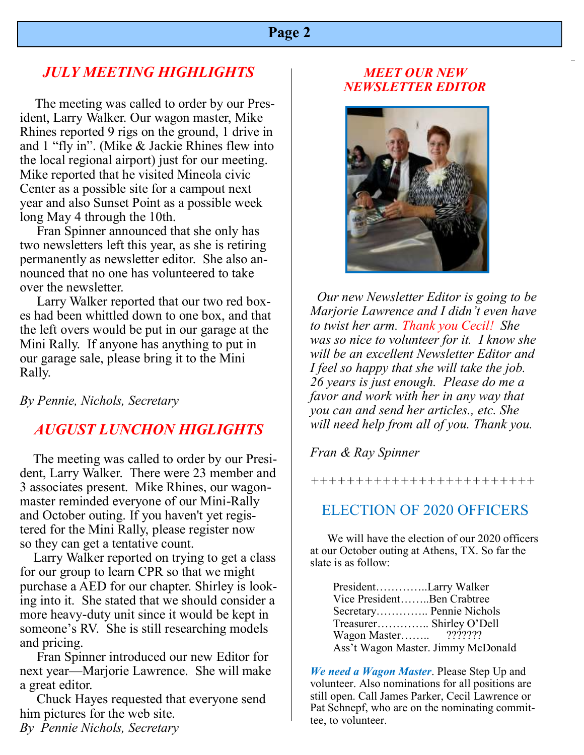## *JULY MEETING HIGHLIGHTS*

The meeting was called to order by our President, Larry Walker. Our wagon master, Mike Rhines reported 9 rigs on the ground, 1 drive in and 1 "fly in". (Mike & Jackie Rhines flew into the local regional airport) just for our meeting. Mike reported that he visited Mineola civic Center as a possible site for a campout next year and also Sunset Point as a possible week long May 4 through the 10th.

 Fran Spinner announced that she only has two newsletters left this year, as she is retiring permanently as newsletter editor. She also announced that no one has volunteered to take over the newsletter.

 Larry Walker reported that our two red boxes had been whittled down to one box, and that the left overs would be put in our garage at the Mini Rally. If anyone has anything to put in our garage sale, please bring it to the Mini Rally.

*By Pennie, Nichols, Secretary*

## *AUGUST LUNCHON HIGLIGHTS*

 The meeting was called to order by our President, Larry Walker. There were 23 member and 3 associates present. Mike Rhines, our wagonmaster reminded everyone of our Mini-Rally and October outing. If you haven't yet registered for the Mini Rally, please register now so they can get a tentative count.

 Larry Walker reported on trying to get a class for our group to learn CPR so that we might purchase a AED for our chapter. Shirley is looking into it. She stated that we should consider a more heavy-duty unit since it would be kept in someone's RV. She is still researching models and pricing.

 Fran Spinner introduced our new Editor for next year—Marjorie Lawrence. She will make a great editor.

 Chuck Hayes requested that everyone send him pictures for the web site. *By Pennie Nichols, Secretary*

#### *MEET OUR NEW NEWSLETTER EDITOR*



 *Our new Newsletter Editor is going to be Marjorie Lawrence and I didn't even have to twist her arm. Thank you Cecil! She was so nice to volunteer for it. I know she will be an excellent Newsletter Editor and I feel so happy that she will take the job. 26 years is just enough. Please do me a favor and work with her in any way that you can and send her articles., etc. She will need help from all of you. Thank you.*

*Fran & Ray Spinner*

*+++++++++++++++++++++++++*

## ELECTION OF 2020 OFFICERS

 We will have the election of our 2020 officers at our October outing at Athens, TX. So far the slate is as follow:

| PresidentLarry Walker      |                                    |
|----------------------------|------------------------------------|
| Vice PresidentBen Crabtree |                                    |
| Secretary Pennie Nichols   |                                    |
| Treasurer Shirley O'Dell   |                                    |
| Wagon Master ???????       |                                    |
|                            | Ass't Wagon Master. Jimmy McDonald |

*We need a Wagon Master*. Please Step Up and volunteer. Also nominations for all positions are still open. Call James Parker, Cecil Lawrence or Pat Schnepf, who are on the nominating committee, to volunteer.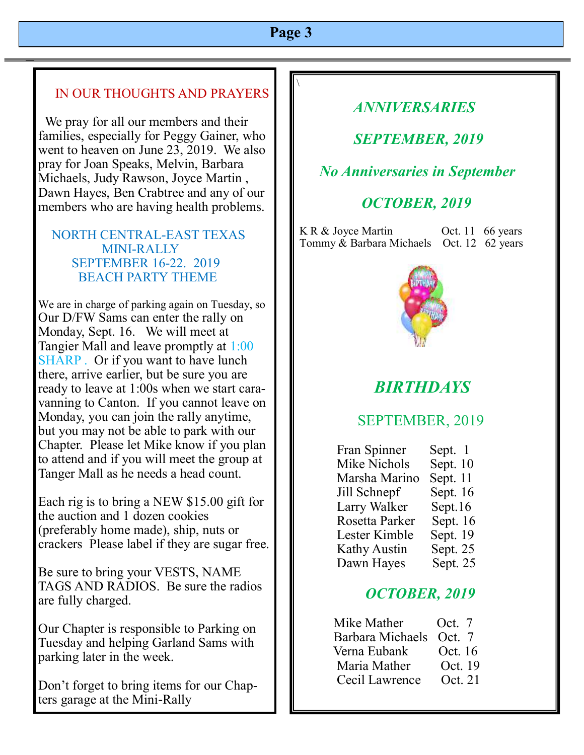$\setminus$ 

## IN OUR THOUGHTS AND PRAYERS

 We pray for all our members and their families, especially for Peggy Gainer, who went to heaven on June 23, 2019. We also pray for Joan Speaks, Melvin, Barbara Michaels, Judy Rawson, Joyce Martin , Dawn Hayes, Ben Crabtree and any of our members who are having health problems.

#### NORTH CENTRAL-EAST TEXAS MINI-RALLY SEPTEMBER 16-22. 2019 BEACH PARTY THEME

We are in charge of parking again on Tuesday, so Our D/FW Sams can enter the rally on Monday, Sept. 16. We will meet at Tangier Mall and leave promptly at 1:00 SHARP. Or if you want to have lunch there, arrive earlier, but be sure you are ready to leave at 1:00s when we start caravanning to Canton. If you cannot leave on Monday, you can join the rally anytime, but you may not be able to park with our Chapter. Please let Mike know if you plan to attend and if you will meet the group at Tanger Mall as he needs a head count.

Each rig is to bring a NEW \$15.00 gift for the auction and 1 dozen cookies (preferably home made), ship, nuts or crackers Please label if they are sugar free.

Be sure to bring your VESTS, NAME TAGS AND RADIOS. Be sure the radios are fully charged.

Our Chapter is responsible to Parking on Tuesday and helping Garland Sams with parking later in the week.

Don't forget to bring items for our Chapters garage at the Mini-Rally

# *ANNIVERSARIES*

 *SEPTEMBER, 2019*

 *No Anniversaries in September*

# *OCTOBER, 2019*

K R & Joyce Martin Oct. 11 66 years Tommy & Barbara Michaels Oct. 12 62 years



# *BIRTHDAYS*

## SEPTEMBER, 2019

| Fran Spinner   | Sept. 1    |
|----------------|------------|
| Mike Nichols   | Sept. $10$ |
| Marsha Marino  | Sept. 11   |
| Jill Schnepf   | Sept. $16$ |
| Larry Walker   | Sept. $16$ |
| Rosetta Parker | Sept. 16   |
| Lester Kimble  | Sept. 19   |
| Kathy Austin   | Sept. 25   |
| Dawn Hayes     | Sept. 25   |

## *OCTOBER, 2019*

| Mike Mather             | Oct. 7  |
|-------------------------|---------|
| Barbara Michaels Oct. 7 |         |
| Verna Eubank            | Oct. 16 |
| Maria Mather            | Oct. 19 |
| Cecil Lawrence          | Oct. 21 |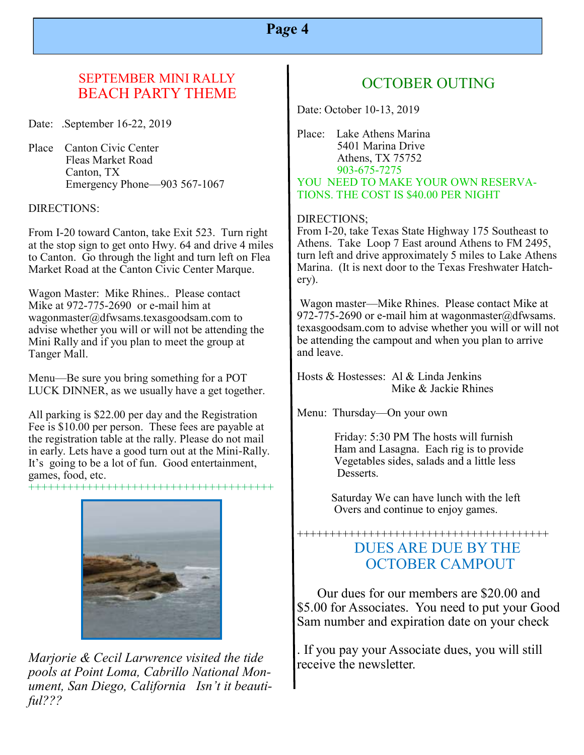#### SEPTEMBER MINI RALLY BEACH PARTY THEME

Date: .September 16-22, 2019

Place Canton Civic Center Fleas Market Road Canton, TX Emergency Phone—903 567-1067

#### DIRECTIONS:

From I-20 toward Canton, take Exit 523. Turn right at the stop sign to get onto Hwy. 64 and drive 4 miles to Canton. Go through the light and turn left on Flea Market Road at the Canton Civic Center Marque.

Wagon Master: Mike Rhines.. Please contact Mike at 972-775-2690 or e-mail him at wagonmaster@dfwsams.texasgoodsam.com to advise whether you will or will not be attending the Mini Rally and if you plan to meet the group at Tanger Mall.

Menu—Be sure you bring something for a POT LUCK DINNER, as we usually have a get together.

All parking is \$22.00 per day and the Registration Fee is \$10.00 per person. These fees are payable at the registration table at the rally. Please do not mail in early. Lets have a good turn out at the Mini-Rally. It's going to be a lot of fun. Good entertainment, games, food, etc.

++++++++++++++++++++++++++++++++++++++



*Marjorie & Cecil Larwrence visited the tide pools at Point Loma, Cabrillo National Monument, San Diego, California Isn't it beautiful???*

## OCTOBER OUTING

Date: October 10-13, 2019

Place: Lake Athens Marina 5401 Marina Drive Athens, TX 75752 903-675-7275 YOU NEED TO MAKE YOUR OWN RESERVA-TIONS. THE COST IS \$40.00 PER NIGHT

#### DIRECTIONS;

From I-20, take Texas State Highway 175 Southeast to Athens. Take Loop 7 East around Athens to FM 2495, turn left and drive approximately 5 miles to Lake Athens Marina. (It is next door to the Texas Freshwater Hatchery).

Wagon master—Mike Rhines. Please contact Mike at 972-775-2690 or e-mail him at wagonmaster  $\omega$ dfwsams. texasgoodsam.com to advise whether you will or will not be attending the campout and when you plan to arrive and leave.

Hosts & Hostesses: Al & Linda Jenkins Mike & Jackie Rhines

Menu: Thursday—On your own

 Friday: 5:30 PM The hosts will furnish Ham and Lasagna. Each rig is to provide Vegetables sides, salads and a little less Desserts.

 Saturday We can have lunch with the left Overs and continue to enjoy games.

#### +++++++++++++++++++++++++++++++++++++++ DUES ARE DUE BY THE OCTOBER CAMPOUT

 Our dues for our members are \$20.00 and \$5.00 for Associates. You need to put your Good Sam number and expiration date on your check

. If you pay your Associate dues, you will still receive the newsletter.